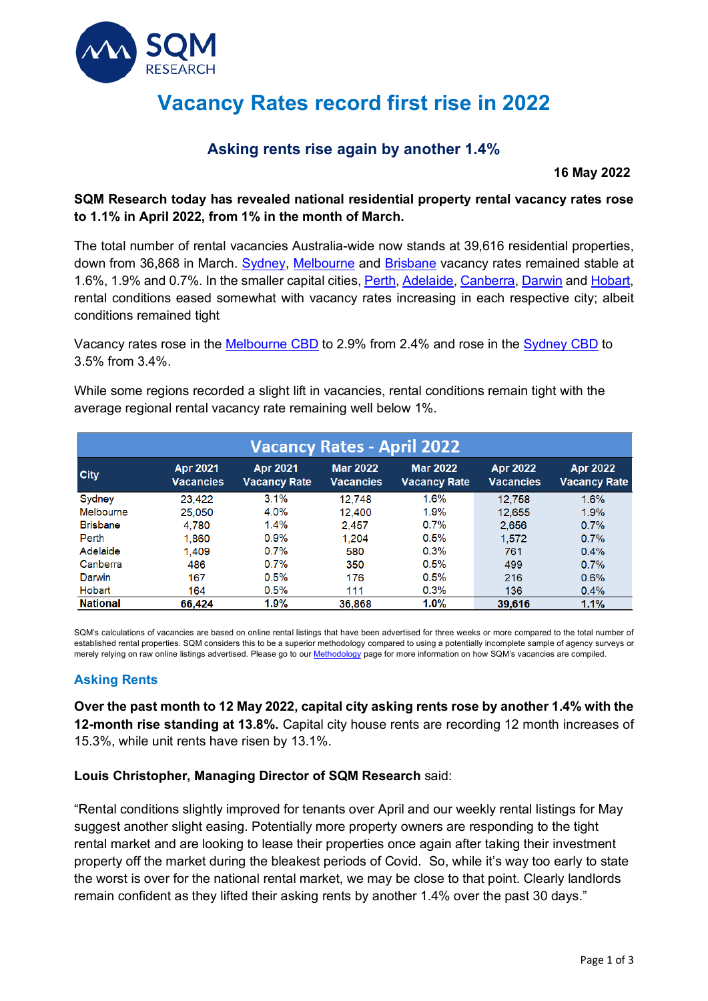

# **Vacancy Rates record first rise in 2022**

## **Asking rents rise again by another 1.4%**

**16 May 2022** 

#### **SQM Research today has revealed national residential property rental vacancy rates rose to 1.1% in April 2022, from 1% in the month of March.**

The total number of rental vacancies Australia-wide now stands at 39,616 residential properties, down from 36,868 in March. Sydney, Melbourne and Brisbane vacancy rates remained stable at 1.6%, 1.9% and 0.7%. In the smaller capital cities, Perth, Adelaide, Canberra, Darwin and Hobart, rental conditions eased somewhat with vacancy rates increasing in each respective city; albeit conditions remained tight

Vacancy rates rose in the Melbourne CBD to 2.9% from 2.4% and rose in the Sydney CBD to 3.5% from 3.4%.

While some regions recorded a slight lift in vacancies, rental conditions remain tight with the average regional rental vacancy rate remaining well below 1%.

| <b>Vacancy Rates - April 2022</b> |                              |                                        |                                     |                                        |                                     |                                        |  |  |  |
|-----------------------------------|------------------------------|----------------------------------------|-------------------------------------|----------------------------------------|-------------------------------------|----------------------------------------|--|--|--|
| <b>City</b>                       | Apr 2021<br><b>Vacancies</b> | <b>Apr 2021</b><br><b>Vacancy Rate</b> | <b>Mar 2022</b><br><b>Vacancies</b> | <b>Mar 2022</b><br><b>Vacancy Rate</b> | <b>Apr 2022</b><br><b>Vacancies</b> | <b>Apr 2022</b><br><b>Vacancy Rate</b> |  |  |  |
| Sydney                            | 23.422                       | 3.1%                                   | 12.748                              | 1.6%                                   | 12.758                              | 1.6%                                   |  |  |  |
| Melbourne                         | 25.050                       | 4.0%                                   | 12.400                              | 1.9%                                   | 12,655                              | 1.9%                                   |  |  |  |
| <b>Brisbane</b>                   | 4.780                        | 1.4%                                   | 2.457                               | 0.7%                                   | 2.656                               | 0.7%                                   |  |  |  |
| Perth                             | 1.860                        | $0.9\%$                                | 1.204                               | 0.5%                                   | 1.572                               | 0.7%                                   |  |  |  |
| Adelaide                          | 1.409                        | 0.7%                                   | 580                                 | 0.3%                                   | 761                                 | 0.4%                                   |  |  |  |
| Canberra                          | 486                          | 0.7%                                   | 350                                 | 0.5%                                   | 499                                 | 0.7%                                   |  |  |  |
| Darwin                            | 167                          | 0.5%                                   | 176                                 | 0.5%                                   | 216                                 | 0.6%                                   |  |  |  |
| Hobart                            | 164                          | 0.5%                                   | 111                                 | 0.3%                                   | 136                                 | 0.4%                                   |  |  |  |
| <b>National</b>                   | 66,424                       | 1.9%                                   | 36.868                              | $1.0\%$                                | 39,616                              | 1.1%                                   |  |  |  |

SQM's calculations of vacancies are based on online rental listings that have been advertised for three weeks or more compared to the total number of established rental properties. SQM considers this to be a superior methodology compared to using a potentially incomplete sample of agency surveys or merely relying on raw online listings advertised. Please go to our **Methodology** page for more information on how SQM's vacancies are compiled.

### **Asking Rents**

**Over the past month to 12 May 2022, capital city asking rents rose by another 1.4% with the 12-month rise standing at 13.8%.** Capital city house rents are recording 12 month increases of 15.3%, while unit rents have risen by 13.1%.

#### **Louis Christopher, Managing Director of SQM Research** said:

"Rental conditions slightly improved for tenants over April and our weekly rental listings for May suggest another slight easing. Potentially more property owners are responding to the tight rental market and are looking to lease their properties once again after taking their investment property off the market during the bleakest periods of Covid. So, while it's way too early to state the worst is over for the national rental market, we may be close to that point. Clearly landlords remain confident as they lifted their asking rents by another 1.4% over the past 30 days."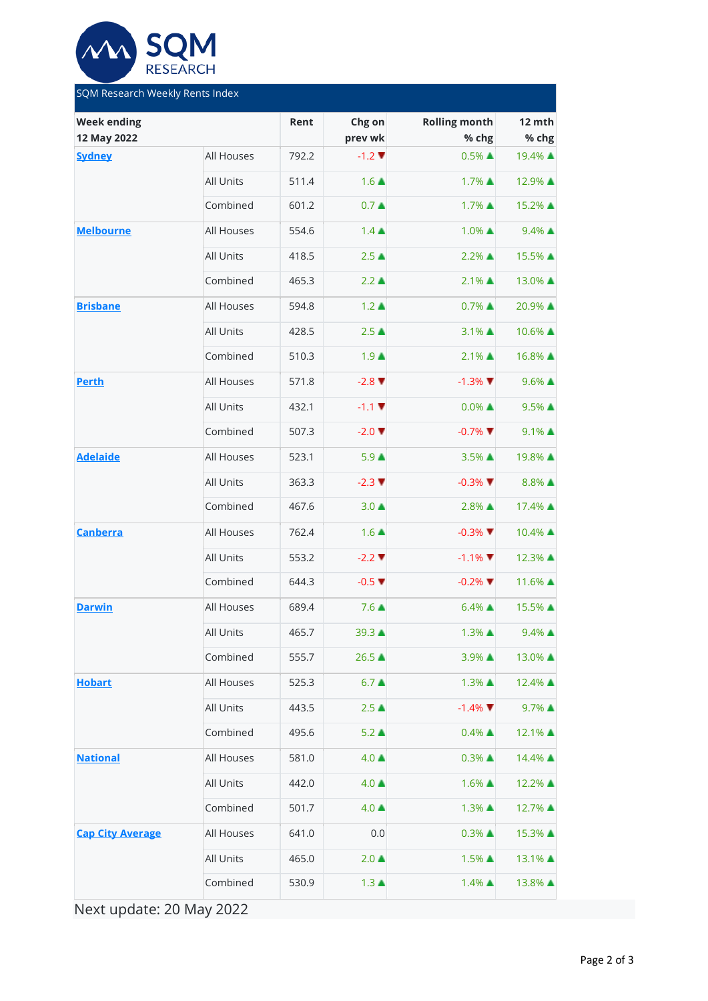

| SQM Research Weekly Rents Index   |            |                   |                               |                               |                     |  |  |  |  |
|-----------------------------------|------------|-------------------|-------------------------------|-------------------------------|---------------------|--|--|--|--|
| <b>Week ending</b><br>12 May 2022 | Rent       | Chg on<br>prev wk | <b>Rolling month</b><br>% chg | 12 mth<br>% chg               |                     |  |  |  |  |
| <b>Sydney</b>                     | All Houses | 792.2             | $-1.2$ $\blacktriangledown$   | $0.5\%$ $\triangle$           | 19.4% ▲             |  |  |  |  |
|                                   | All Units  | 511.4             | $1.6 \triangle$               | 1.7% ▲                        | 12.9% ▲             |  |  |  |  |
|                                   | Combined   | 601.2             | 0.7 <sub>A</sub>              | 1.7% ▲                        | 15.2% ▲             |  |  |  |  |
| <b>Melbourne</b>                  | All Houses | 554.6             | $1.4 \triangle$               | 1.0% ▲                        | $9.4\%$ $\triangle$ |  |  |  |  |
|                                   | All Units  | 418.5             | $2.5 \triangle$               | $2.2\%$ $\triangle$           | 15.5% ▲             |  |  |  |  |
|                                   | Combined   | 465.3             | $2.2 \triangle$               | 2.1% ▲                        | 13.0% ▲             |  |  |  |  |
| <b>Brisbane</b>                   | All Houses | 594.8             | $1.2 \triangle$               | $0.7\%$ $\triangle$           | 20.9% ▲             |  |  |  |  |
|                                   | All Units  | 428.5             | 2.5 <sub>A</sub>              | 3.1% ▲                        | 10.6% ▲             |  |  |  |  |
|                                   | Combined   | 510.3             | $1.9+$                        | $2.1\%$ $\triangle$           | 16.8% ▲             |  |  |  |  |
| <b>Perth</b>                      | All Houses | 571.8             | $-2.8$ $\blacktriangledown$   | $-1.3\%$ $\blacktriangledown$ | $9.6\%$ $\triangle$ |  |  |  |  |
|                                   | All Units  | 432.1             | $-1.1$ $\blacktriangledown$   | $0.0\%$ $\triangle$           | $9.5\%$ $\triangle$ |  |  |  |  |
|                                   | Combined   | 507.3             | $-2.0$ $\blacktriangledown$   | $-0.7\%$                      | $9.1\%$ $\triangle$ |  |  |  |  |
| <b>Adelaide</b>                   | All Houses | 523.1             | $5.9 \triangle$               | 3.5% ▲                        | 19.8% ▲             |  |  |  |  |
|                                   | All Units  | 363.3             | $-2.3$ $\blacktriangledown$   | $-0.3\%$                      | $8.8\%$ $\triangle$ |  |  |  |  |
|                                   | Combined   | 467.6             | $3.0 \triangle$               | 2.8% ▲                        | 17.4% ▲             |  |  |  |  |
| <b>Canberra</b>                   | All Houses | 762.4             | $1.6 \triangle$               | $-0.3\%$                      | 10.4% ▲             |  |  |  |  |
|                                   | All Units  | 553.2             | $-2.2$ $\blacktriangledown$   | $-1.1\%$                      | 12.3% ▲             |  |  |  |  |
|                                   | Combined   | 644.3             | $-0.5$ $\blacktriangledown$   | $-0.2\%$                      | 11.6% ▲             |  |  |  |  |
| <b>Darwin</b>                     | All Houses | 689.4             | $7.6 \triangle$               | $6.4\%$ $\triangle$           | 15.5% ▲             |  |  |  |  |
|                                   | All Units  | 465.7             | 39.3 ▲                        | 1.3% ▲                        | $9.4\%$ $\triangle$ |  |  |  |  |
|                                   | Combined   | 555.7             | 26.5 ▲                        | 3.9% ▲                        | 13.0% ▲             |  |  |  |  |
| <b>Hobart</b>                     | All Houses | 525.3             | $6.7+$                        | 1.3% ▲                        | 12.4% ▲             |  |  |  |  |
|                                   | All Units  | 443.5             | $2.5\triangle$                | $-1.4\%$                      | 9.7% ▲              |  |  |  |  |
|                                   | Combined   | 495.6             | $5.2 \triangle$               | $0.4\%$ $\triangle$           | 12.1% ▲             |  |  |  |  |
| <b>National</b>                   | All Houses | 581.0             | $4.0 \triangle$               | $0.3\%$ $\triangle$           | 14.4% ▲             |  |  |  |  |
|                                   | All Units  | 442.0             | $4.0 \triangle$               | 1.6% ▲                        | 12.2% ▲             |  |  |  |  |
|                                   | Combined   | 501.7             | $4.0 \triangle$               | 1.3% ▲                        | 12.7% ▲             |  |  |  |  |
| <b>Cap City Average</b>           | All Houses | 641.0             | 0.0                           | $0.3\%$ $\triangle$           | 15.3% ▲             |  |  |  |  |
|                                   | All Units  | 465.0             | $2.0 \triangle$               | 1.5% ▲                        | 13.1% ▲             |  |  |  |  |
|                                   | Combined   | 530.9             | $1.3 \triangle$               | 1.4% ▲                        | 13.8% ▲             |  |  |  |  |

Next update: 20 May 2022